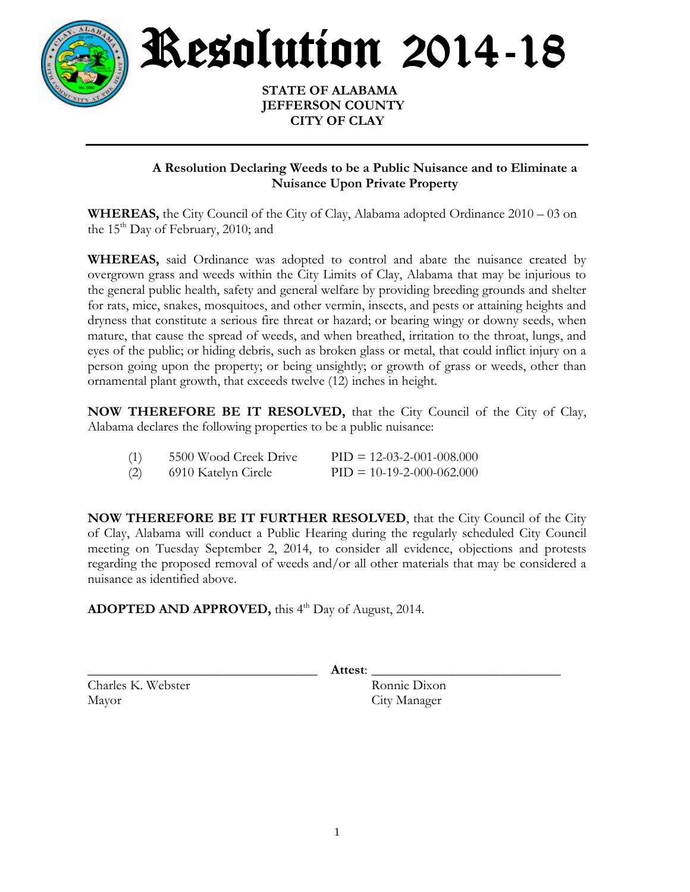

Resolution 2014-18

 **STATE OF ALABAMA JEFFERSON COUNTY CITY OF CLAY**

## **A Resolution Declaring Weeds to be a Public Nuisance and to Eliminate a Nuisance Upon Private Property**

**WHEREAS,** the City Council of the City of Clay, Alabama adopted Ordinance 2010 – 03 on the  $15<sup>th</sup>$  Day of February, 2010; and

**WHEREAS,** said Ordinance was adopted to control and abate the nuisance created by overgrown grass and weeds within the City Limits of Clay, Alabama that may be injurious to the general public health, safety and general welfare by providing breeding grounds and shelter for rats, mice, snakes, mosquitoes, and other vermin, insects, and pests or attaining heights and dryness that constitute a serious fire threat or hazard; or bearing wingy or downy seeds, when mature, that cause the spread of weeds, and when breathed, irritation to the throat, lungs, and eyes of the public; or hiding debris, such as broken glass or metal, that could inflict injury on a person going upon the property; or being unsightly; or growth of grass or weeds, other than ornamental plant growth, that exceeds twelve (12) inches in height.

**NOW THEREFORE BE IT RESOLVED,** that the City Council of the City of Clay, Alabama declares the following properties to be a public nuisance:

| (1) | 5500 Wood Creek Drive | $PID = 12-03-2-001-008,000$ |
|-----|-----------------------|-----------------------------|
| (2) | 6910 Katelyn Circle   | $PID = 10-19-2-000-062.000$ |

**NOW THEREFORE BE IT FURTHER RESOLVED**, that the City Council of the City of Clay, Alabama will conduct a Public Hearing during the regularly scheduled City Council meeting on Tuesday September 2, 2014, to consider all evidence, objections and protests regarding the proposed removal of weeds and/or all other materials that may be considered a nuisance as identified above.

**ADOPTED AND APPROVED,** this 4 th Day of August, 2014.

\_\_\_\_\_\_\_\_\_\_\_\_\_\_\_\_\_\_\_\_\_\_\_\_\_\_\_\_\_\_\_\_\_\_ **Attest**: \_\_\_\_\_\_\_\_\_\_\_\_\_\_\_\_\_\_\_\_\_\_\_\_\_\_\_\_

Charles K. Webster Ronnie Dixon Mayor City Manager